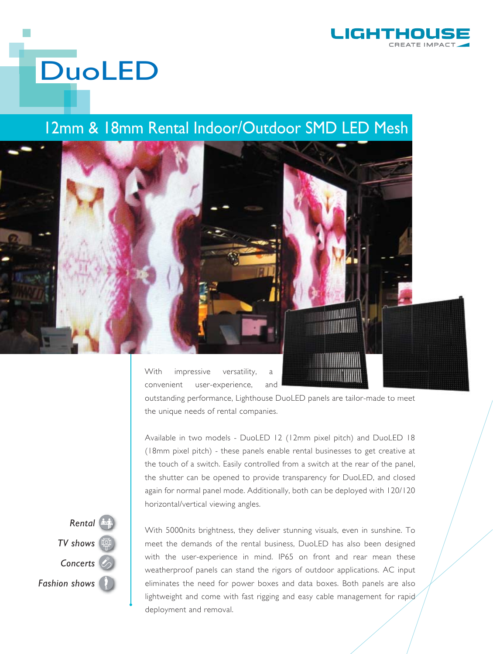

## **DuoLED**

## 12mm & 18mm Rental Indoor/Outdoor SMD LED Mesh



With impressive versatility, a convenient user-experience, and

outstanding performance, Lighthouse DuoLED panels are tailor-made to meet the unique needs of rental companies.

Available in two models - DuoLED 12 (12mm pixel pitch) and DuoLED 18 (18mm pixel pitch) - these panels enable rental businesses to get creative at the touch of a switch. Easily controlled from a switch at the rear of the panel, the shutter can be opened to provide transparency for DuoLED, and closed again for normal panel mode. Additionally, both can be deployed with 120/120 horizontal/vertical viewing angles.



With 5000nits brightness, they deliver stunning visuals, even in sunshine. To meet the demands of the rental business, DuoLED has also been designed with the user-experience in mind. IP65 on front and rear mean these weatherproof panels can stand the rigors of outdoor applications. AC input eliminates the need for power boxes and data boxes. Both panels are also lightweight and come with fast rigging and easy cable management for rapid deployment and removal.